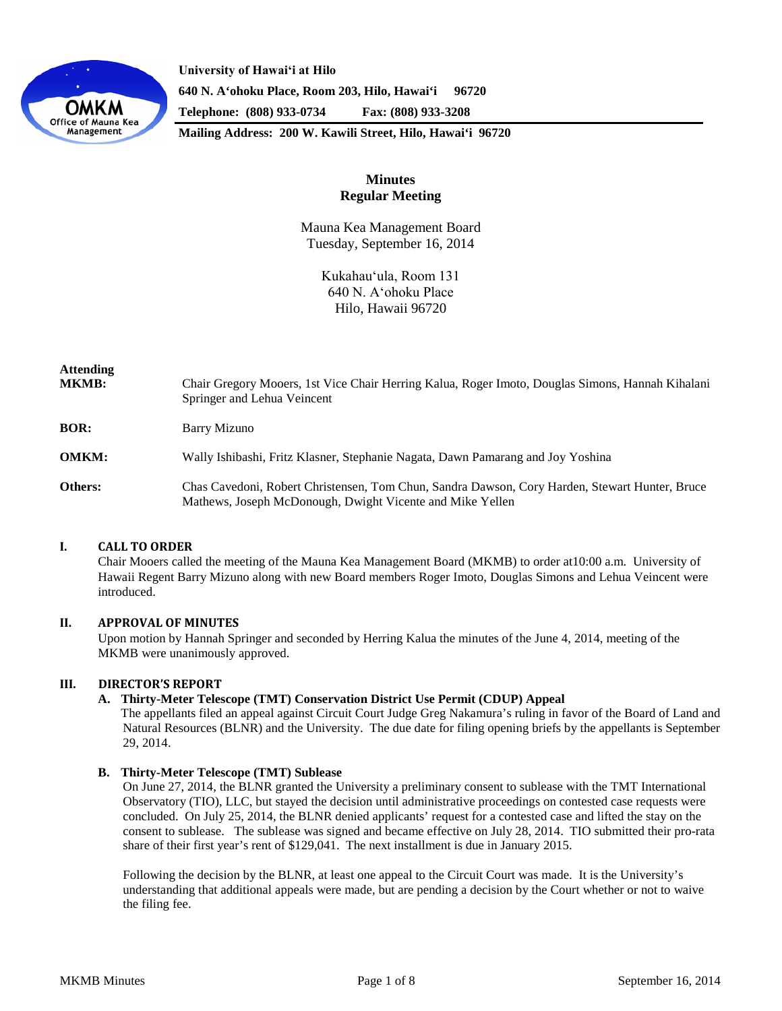

**University of Hawaiʻi at Hilo 640 N. A'ohoku Place, Room 203, Hilo, Hawai'i 96720 Telephone: (808) 933-0734 Fax: (808) 933-3208**

**Mailing Address: 200 W. Kawili Street, Hilo, Hawai'i 96720**

# **Minutes Regular Meeting**

Mauna Kea Management Board Tuesday, September 16, 2014

> Kukahauʻula, Room 131 640 N. Aʻohoku Place Hilo, Hawaii 96720

| Attending<br>MKMB: | Chair Gregory Mooers, 1st Vice Chair Herring Kalua, Roger Imoto, Douglas Simons, Hannah Kihalani<br>Springer and Lehua Veincent                             |
|--------------------|-------------------------------------------------------------------------------------------------------------------------------------------------------------|
| BOR:               | <b>Barry Mizuno</b>                                                                                                                                         |
| <b>OMKM:</b>       | Wally Ishibashi, Fritz Klasner, Stephanie Nagata, Dawn Pamarang and Joy Yoshina                                                                             |
| Others:            | Chas Cavedoni, Robert Christensen, Tom Chun, Sandra Dawson, Cory Harden, Stewart Hunter, Bruce<br>Mathews, Joseph McDonough, Dwight Vicente and Mike Yellen |

## **I. CALL TO ORDER**

Chair Mooers called the meeting of the Mauna Kea Management Board (MKMB) to order at10:00 a.m. University of Hawaii Regent Barry Mizuno along with new Board members Roger Imoto, Douglas Simons and Lehua Veincent were introduced.

## **II. APPROVAL OF MINUTES**

Upon motion by Hannah Springer and seconded by Herring Kalua the minutes of the June 4, 2014, meeting of the MKMB were unanimously approved.

## **III. DIRECTOR'S REPORT**

## **A. Thirty-Meter Telescope (TMT) Conservation District Use Permit (CDUP) Appeal**

The appellants filed an appeal against Circuit Court Judge Greg Nakamura's ruling in favor of the Board of Land and Natural Resources (BLNR) and the University. The due date for filing opening briefs by the appellants is September 29, 2014.

### **B. Thirty-Meter Telescope (TMT) Sublease**

On June 27, 2014, the BLNR granted the University a preliminary consent to sublease with the TMT International Observatory (TIO), LLC, but stayed the decision until administrative proceedings on contested case requests were concluded. On July 25, 2014, the BLNR denied applicants' request for a contested case and lifted the stay on the consent to sublease. The sublease was signed and became effective on July 28, 2014. TIO submitted their pro-rata share of their first year's rent of \$129,041. The next installment is due in January 2015.

Following the decision by the BLNR, at least one appeal to the Circuit Court was made. It is the University's understanding that additional appeals were made, but are pending a decision by the Court whether or not to waive the filing fee.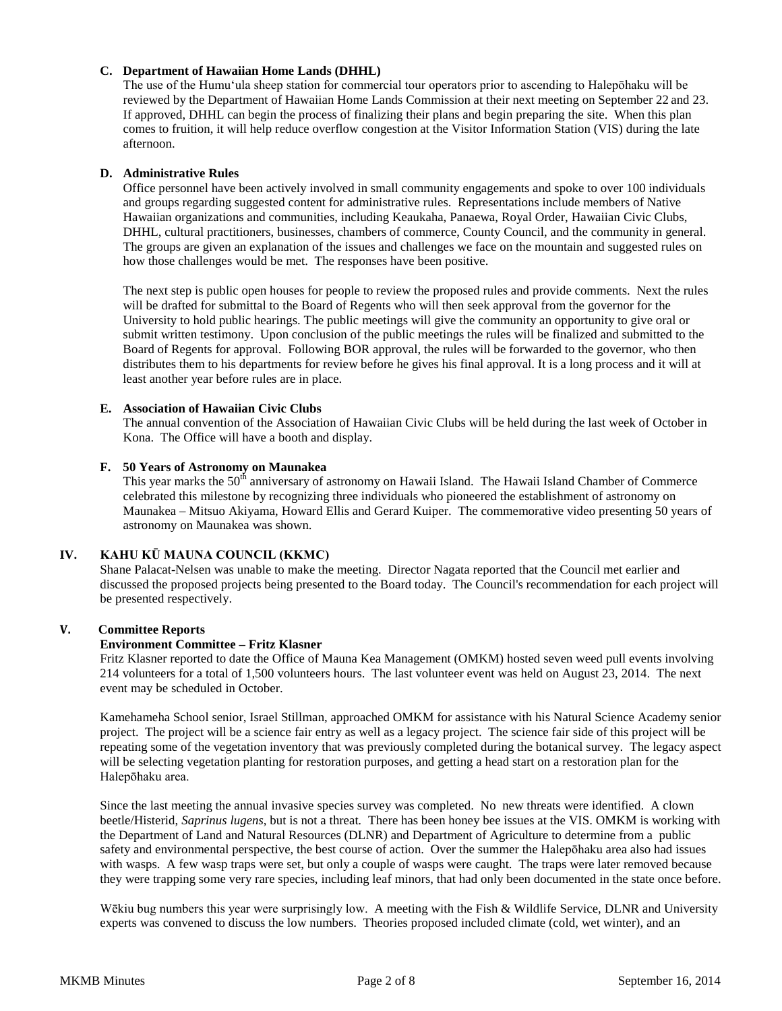## **C. Department of Hawaiian Home Lands (DHHL)**

The use of the Humuʻula sheep station for commercial tour operators prior to ascending to Halepōhaku will be reviewed by the Department of Hawaiian Home Lands Commission at their next meeting on September 22 and 23. If approved, DHHL can begin the process of finalizing their plans and begin preparing the site. When this plan comes to fruition, it will help reduce overflow congestion at the Visitor Information Station (VIS) during the late afternoon.

## **D. Administrative Rules**

Office personnel have been actively involved in small community engagements and spoke to over 100 individuals and groups regarding suggested content for administrative rules. Representations include members of Native Hawaiian organizations and communities, including Keaukaha, Panaewa, Royal Order, Hawaiian Civic Clubs, DHHL, cultural practitioners, businesses, chambers of commerce, County Council, and the community in general. The groups are given an explanation of the issues and challenges we face on the mountain and suggested rules on how those challenges would be met. The responses have been positive.

The next step is public open houses for people to review the proposed rules and provide comments. Next the rules will be drafted for submittal to the Board of Regents who will then seek approval from the governor for the University to hold public hearings. The public meetings will give the community an opportunity to give oral or submit written testimony. Upon conclusion of the public meetings the rules will be finalized and submitted to the Board of Regents for approval. Following BOR approval, the rules will be forwarded to the governor, who then distributes them to his departments for review before he gives his final approval. It is a long process and it will at least another year before rules are in place.

### **E. Association of Hawaiian Civic Clubs**

The annual convention of the Association of Hawaiian Civic Clubs will be held during the last week of October in Kona. The Office will have a booth and display.

### **F. 50 Years of Astronomy on Maunakea**

This year marks the 50<sup>th</sup> anniversary of astronomy on Hawaii Island. The Hawaii Island Chamber of Commerce celebrated this milestone by recognizing three individuals who pioneered the establishment of astronomy on Maunakea – Mitsuo Akiyama, Howard Ellis and Gerard Kuiper. The commemorative video presenting 50 years of astronomy on Maunakea was shown.

## **IV. KAHU KŪ MAUNA COUNCIL (KKMC)**

Shane Palacat-Nelsen was unable to make the meeting. Director Nagata reported that the Council met earlier and discussed the proposed projects being presented to the Board today. The Council's recommendation for each project will be presented respectively.

## **V. Committee Reports**

#### **Environment Committee – Fritz Klasner**

Fritz Klasner reported to date the Office of Mauna Kea Management (OMKM) hosted seven weed pull events involving 214 volunteers for a total of 1,500 volunteers hours. The last volunteer event was held on August 23, 2014. The next event may be scheduled in October.

Kamehameha School senior, Israel Stillman, approached OMKM for assistance with his Natural Science Academy senior project. The project will be a science fair entry as well as a legacy project. The science fair side of this project will be repeating some of the vegetation inventory that was previously completed during the botanical survey. The legacy aspect will be selecting vegetation planting for restoration purposes, and getting a head start on a restoration plan for the Halepōhaku area.

Since the last meeting the annual invasive species survey was completed. No new threats were identified. A clown beetle/Histerid, *Saprinus lugens*, but is not a threat*.* There has been honey bee issues at the VIS. OMKM is working with the Department of Land and Natural Resources (DLNR) and Department of Agriculture to determine from a public safety and environmental perspective, the best course of action. Over the summer the Halepōhaku area also had issues with wasps. A few wasp traps were set, but only a couple of wasps were caught. The traps were later removed because they were trapping some very rare species, including leaf minors, that had only been documented in the state once before.

Wēkiu bug numbers this year were surprisingly low. A meeting with the Fish & Wildlife Service, DLNR and University experts was convened to discuss the low numbers. Theories proposed included climate (cold, wet winter), and an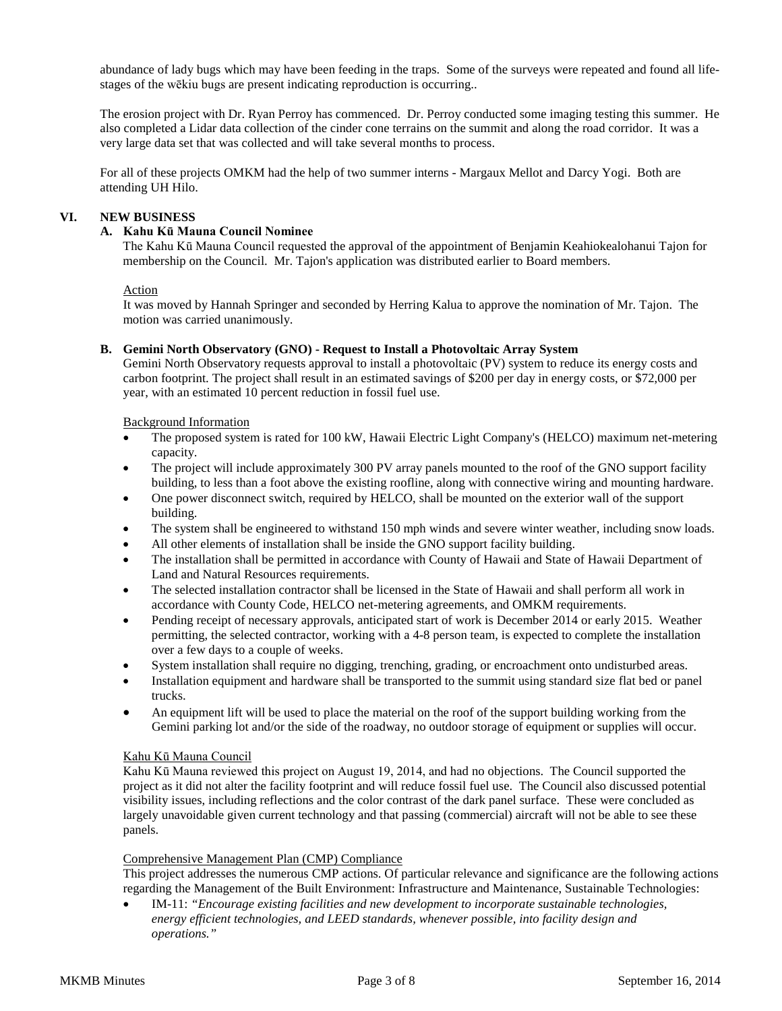abundance of lady bugs which may have been feeding in the traps. Some of the surveys were repeated and found all lifestages of the wēkiu bugs are present indicating reproduction is occurring..

The erosion project with Dr. Ryan Perroy has commenced. Dr. Perroy conducted some imaging testing this summer. He also completed a Lidar data collection of the cinder cone terrains on the summit and along the road corridor. It was a very large data set that was collected and will take several months to process.

For all of these projects OMKM had the help of two summer interns - Margaux Mellot and Darcy Yogi. Both are attending UH Hilo.

### **VI. NEW BUSINESS**

### **A. Kahu Kū Mauna Council Nominee**

The Kahu Kū Mauna Council requested the approval of the appointment of Benjamin Keahiokealohanui Tajon for membership on the Council. Mr. Tajon's application was distributed earlier to Board members.

#### **Action**

It was moved by Hannah Springer and seconded by Herring Kalua to approve the nomination of Mr. Tajon. The motion was carried unanimously.

### **B. Gemini North Observatory (GNO) - Request to Install a Photovoltaic Array System**

Gemini North Observatory requests approval to install a photovoltaic (PV) system to reduce its energy costs and carbon footprint. The project shall result in an estimated savings of \$200 per day in energy costs, or \$72,000 per year, with an estimated 10 percent reduction in fossil fuel use.

### Background Information

- The proposed system is rated for 100 kW, Hawaii Electric Light Company's (HELCO) maximum net-metering capacity.
- The project will include approximately 300 PV array panels mounted to the roof of the GNO support facility building, to less than a foot above the existing roofline, along with connective wiring and mounting hardware.
- One power disconnect switch, required by HELCO, shall be mounted on the exterior wall of the support building.
- The system shall be engineered to withstand 150 mph winds and severe winter weather, including snow loads.
- All other elements of installation shall be inside the GNO support facility building.
- The installation shall be permitted in accordance with County of Hawaii and State of Hawaii Department of Land and Natural Resources requirements.
- The selected installation contractor shall be licensed in the State of Hawaii and shall perform all work in accordance with County Code, HELCO net-metering agreements, and OMKM requirements.
- Pending receipt of necessary approvals, anticipated start of work is December 2014 or early 2015. Weather permitting, the selected contractor, working with a 4-8 person team, is expected to complete the installation over a few days to a couple of weeks.
- System installation shall require no digging, trenching, grading, or encroachment onto undisturbed areas.
- Installation equipment and hardware shall be transported to the summit using standard size flat bed or panel trucks.
- An equipment lift will be used to place the material on the roof of the support building working from the Gemini parking lot and/or the side of the roadway, no outdoor storage of equipment or supplies will occur.

#### Kahu Kū Mauna Council

Kahu Kū Mauna reviewed this project on August 19, 2014, and had no objections. The Council supported the project as it did not alter the facility footprint and will reduce fossil fuel use. The Council also discussed potential visibility issues, including reflections and the color contrast of the dark panel surface. These were concluded as largely unavoidable given current technology and that passing (commercial) aircraft will not be able to see these panels.

#### Comprehensive Management Plan (CMP) Compliance

This project addresses the numerous CMP actions. Of particular relevance and significance are the following actions regarding the Management of the Built Environment: Infrastructure and Maintenance, Sustainable Technologies:

• IM-11: *"Encourage existing facilities and new development to incorporate sustainable technologies, energy efficient technologies, and LEED standards, whenever possible, into facility design and operations."*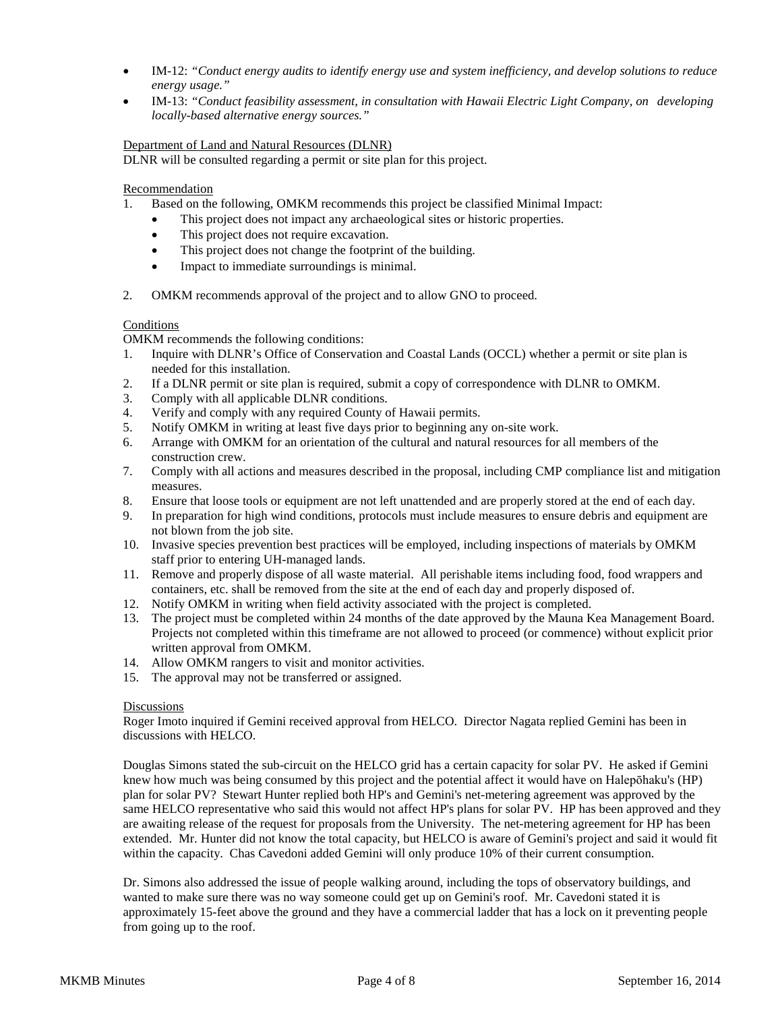- IM-12: *"Conduct energy audits to identify energy use and system inefficiency, and develop solutions to reduce energy usage."*
- IM-13: *"Conduct feasibility assessment, in consultation with Hawaii Electric Light Company, on developing locally-based alternative energy sources."*

## Department of Land and Natural Resources (DLNR)

DLNR will be consulted regarding a permit or site plan for this project.

### **Recommendation**

- 1. Based on the following, OMKM recommends this project be classified Minimal Impact:
	- This project does not impact any archaeological sites or historic properties.
	- This project does not require excavation.
	- This project does not change the footprint of the building.
	- Impact to immediate surroundings is minimal.
- 2. OMKM recommends approval of the project and to allow GNO to proceed.

#### Conditions

OMKM recommends the following conditions:

- 1. Inquire with DLNR's Office of Conservation and Coastal Lands (OCCL) whether a permit or site plan is needed for this installation.
- 2. If a DLNR permit or site plan is required, submit a copy of correspondence with DLNR to OMKM.
- 3. Comply with all applicable DLNR conditions.
- 4. Verify and comply with any required County of Hawaii permits.
- 5. Notify OMKM in writing at least five days prior to beginning any on-site work.
- 6. Arrange with OMKM for an orientation of the cultural and natural resources for all members of the construction crew.
- 7. Comply with all actions and measures described in the proposal, including CMP compliance list and mitigation measures.
- 8. Ensure that loose tools or equipment are not left unattended and are properly stored at the end of each day.
- 9. In preparation for high wind conditions, protocols must include measures to ensure debris and equipment are not blown from the job site.
- 10. Invasive species prevention best practices will be employed, including inspections of materials by OMKM staff prior to entering UH-managed lands.
- 11. Remove and properly dispose of all waste material. All perishable items including food, food wrappers and containers, etc. shall be removed from the site at the end of each day and properly disposed of.
- 12. Notify OMKM in writing when field activity associated with the project is completed.
- 13. The project must be completed within 24 months of the date approved by the Mauna Kea Management Board. Projects not completed within this timeframe are not allowed to proceed (or commence) without explicit prior written approval from OMKM.
- 14. Allow OMKM rangers to visit and monitor activities.
- 15. The approval may not be transferred or assigned.

#### **Discussions**

Roger Imoto inquired if Gemini received approval from HELCO. Director Nagata replied Gemini has been in discussions with HELCO.

Douglas Simons stated the sub-circuit on the HELCO grid has a certain capacity for solar PV. He asked if Gemini knew how much was being consumed by this project and the potential affect it would have on Halepōhaku's (HP) plan for solar PV? Stewart Hunter replied both HP's and Gemini's net-metering agreement was approved by the same HELCO representative who said this would not affect HP's plans for solar PV. HP has been approved and they are awaiting release of the request for proposals from the University. The net-metering agreement for HP has been extended. Mr. Hunter did not know the total capacity, but HELCO is aware of Gemini's project and said it would fit within the capacity. Chas Cavedoni added Gemini will only produce 10% of their current consumption.

Dr. Simons also addressed the issue of people walking around, including the tops of observatory buildings, and wanted to make sure there was no way someone could get up on Gemini's roof. Mr. Cavedoni stated it is approximately 15-feet above the ground and they have a commercial ladder that has a lock on it preventing people from going up to the roof.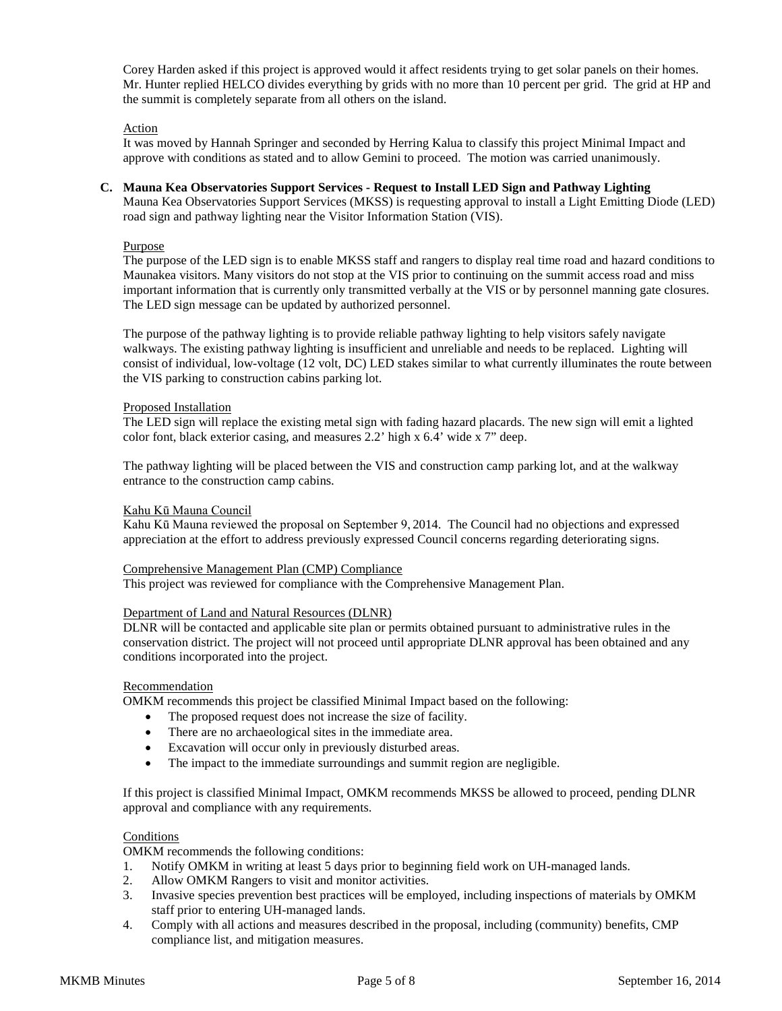Corey Harden asked if this project is approved would it affect residents trying to get solar panels on their homes. Mr. Hunter replied HELCO divides everything by grids with no more than 10 percent per grid. The grid at HP and the summit is completely separate from all others on the island.

### Action

It was moved by Hannah Springer and seconded by Herring Kalua to classify this project Minimal Impact and approve with conditions as stated and to allow Gemini to proceed. The motion was carried unanimously.

## **C. Mauna Kea Observatories Support Services - Request to Install LED Sign and Pathway Lighting**

Mauna Kea Observatories Support Services (MKSS) is requesting approval to install a Light Emitting Diode (LED) road sign and pathway lighting near the Visitor Information Station (VIS).

### Purpose

The purpose of the LED sign is to enable MKSS staff and rangers to display real time road and hazard conditions to Maunakea visitors. Many visitors do not stop at the VIS prior to continuing on the summit access road and miss important information that is currently only transmitted verbally at the VIS or by personnel manning gate closures. The LED sign message can be updated by authorized personnel.

The purpose of the pathway lighting is to provide reliable pathway lighting to help visitors safely navigate walkways. The existing pathway lighting is insufficient and unreliable and needs to be replaced. Lighting will consist of individual, low-voltage (12 volt, DC) LED stakes similar to what currently illuminates the route between the VIS parking to construction cabins parking lot.

### Proposed Installation

The LED sign will replace the existing metal sign with fading hazard placards. The new sign will emit a lighted color font, black exterior casing, and measures 2.2' high x 6.4' wide x 7" deep.

The pathway lighting will be placed between the VIS and construction camp parking lot, and at the walkway entrance to the construction camp cabins.

### Kahu Kū Mauna Council

Kahu Kū Mauna reviewed the proposal on September 9, 2014. The Council had no objections and expressed appreciation at the effort to address previously expressed Council concerns regarding deteriorating signs.

#### Comprehensive Management Plan (CMP) Compliance

This project was reviewed for compliance with the Comprehensive Management Plan.

#### Department of Land and Natural Resources (DLNR)

DLNR will be contacted and applicable site plan or permits obtained pursuant to administrative rules in the conservation district. The project will not proceed until appropriate DLNR approval has been obtained and any conditions incorporated into the project.

#### Recommendation

OMKM recommends this project be classified Minimal Impact based on the following:

- The proposed request does not increase the size of facility.
- There are no archaeological sites in the immediate area.
- Excavation will occur only in previously disturbed areas.
- The impact to the immediate surroundings and summit region are negligible.

If this project is classified Minimal Impact, OMKM recommends MKSS be allowed to proceed, pending DLNR approval and compliance with any requirements.

## **Conditions**

OMKM recommends the following conditions:

- 1. Notify OMKM in writing at least 5 days prior to beginning field work on UH-managed lands.
- 2. Allow OMKM Rangers to visit and monitor activities.
- 3. Invasive species prevention best practices will be employed, including inspections of materials by OMKM staff prior to entering UH-managed lands.
- 4. Comply with all actions and measures described in the proposal, including (community) benefits, CMP compliance list, and mitigation measures.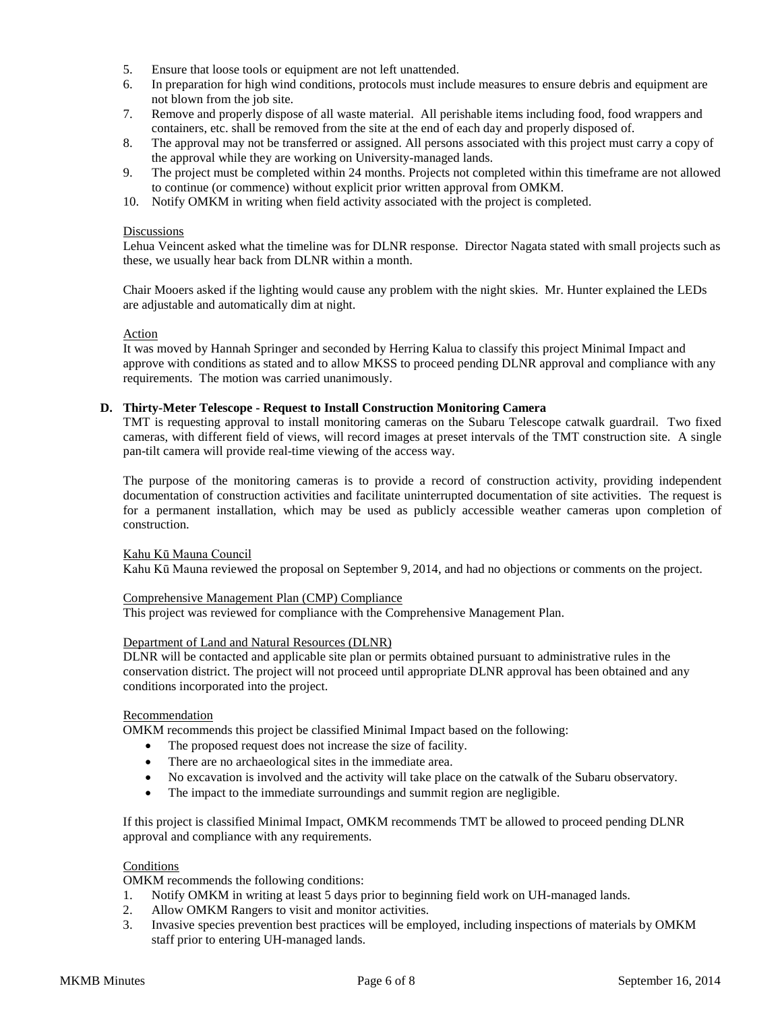- 5. Ensure that loose tools or equipment are not left unattended.
- 6. In preparation for high wind conditions, protocols must include measures to ensure debris and equipment are not blown from the job site.
- 7. Remove and properly dispose of all waste material. All perishable items including food, food wrappers and containers, etc. shall be removed from the site at the end of each day and properly disposed of.
- 8. The approval may not be transferred or assigned. All persons associated with this project must carry a copy of the approval while they are working on University-managed lands.
- 9. The project must be completed within 24 months. Projects not completed within this timeframe are not allowed to continue (or commence) without explicit prior written approval from OMKM.
- 10. Notify OMKM in writing when field activity associated with the project is completed.

#### **Discussions**

Lehua Veincent asked what the timeline was for DLNR response. Director Nagata stated with small projects such as these, we usually hear back from DLNR within a month.

Chair Mooers asked if the lighting would cause any problem with the night skies. Mr. Hunter explained the LEDs are adjustable and automatically dim at night.

#### Action

It was moved by Hannah Springer and seconded by Herring Kalua to classify this project Minimal Impact and approve with conditions as stated and to allow MKSS to proceed pending DLNR approval and compliance with any requirements. The motion was carried unanimously.

#### **D. Thirty-Meter Telescope - Request to Install Construction Monitoring Camera**

TMT is requesting approval to install monitoring cameras on the Subaru Telescope catwalk guardrail. Two fixed cameras, with different field of views, will record images at preset intervals of the TMT construction site. A single pan-tilt camera will provide real-time viewing of the access way.

The purpose of the monitoring cameras is to provide a record of construction activity, providing independent documentation of construction activities and facilitate uninterrupted documentation of site activities. The request is for a permanent installation, which may be used as publicly accessible weather cameras upon completion of construction.

#### Kahu Kū Mauna Council

Kahu Kū Mauna reviewed the proposal on September 9, 2014, and had no objections or comments on the project.

#### Comprehensive Management Plan (CMP) Compliance

This project was reviewed for compliance with the Comprehensive Management Plan.

#### Department of Land and Natural Resources (DLNR)

DLNR will be contacted and applicable site plan or permits obtained pursuant to administrative rules in the conservation district. The project will not proceed until appropriate DLNR approval has been obtained and any conditions incorporated into the project.

#### **Recommendation**

OMKM recommends this project be classified Minimal Impact based on the following:

- The proposed request does not increase the size of facility.
- There are no archaeological sites in the immediate area.
- No excavation is involved and the activity will take place on the catwalk of the Subaru observatory.
- The impact to the immediate surroundings and summit region are negligible.

If this project is classified Minimal Impact, OMKM recommends TMT be allowed to proceed pending DLNR approval and compliance with any requirements.

## **Conditions**

OMKM recommends the following conditions:

- 1. Notify OMKM in writing at least 5 days prior to beginning field work on UH-managed lands.
- 2. Allow OMKM Rangers to visit and monitor activities.
- 3. Invasive species prevention best practices will be employed, including inspections of materials by OMKM staff prior to entering UH-managed lands.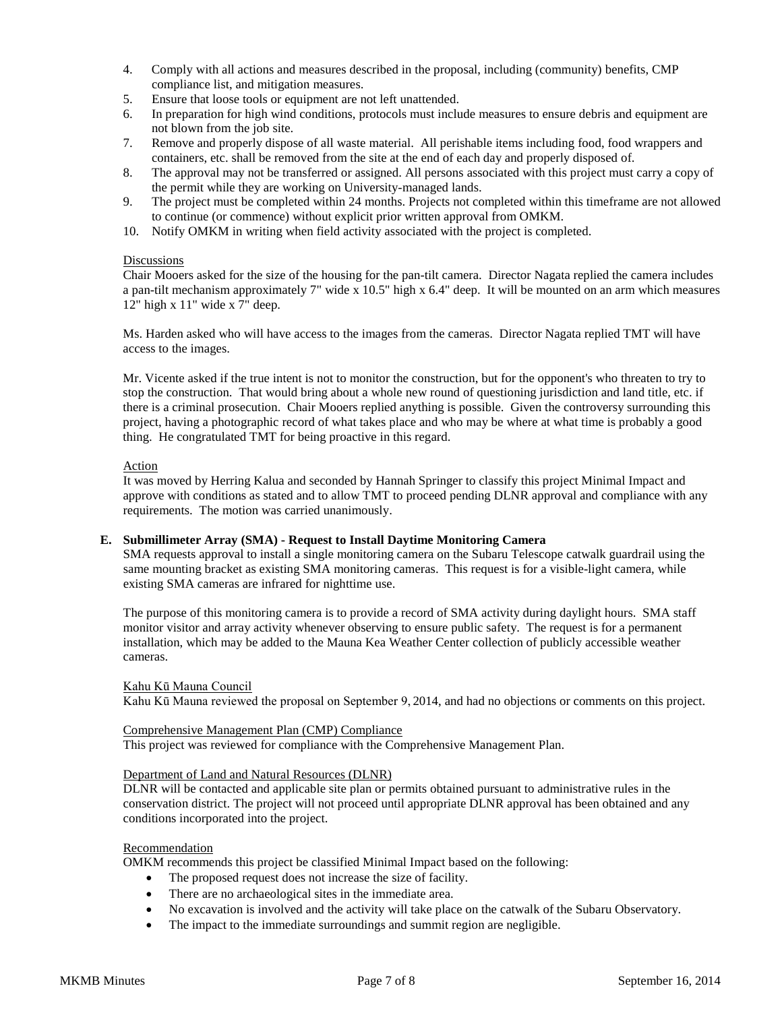- 4. Comply with all actions and measures described in the proposal, including (community) benefits, CMP compliance list, and mitigation measures.
- 5. Ensure that loose tools or equipment are not left unattended.
- 6. In preparation for high wind conditions, protocols must include measures to ensure debris and equipment are not blown from the job site.
- 7. Remove and properly dispose of all waste material. All perishable items including food, food wrappers and containers, etc. shall be removed from the site at the end of each day and properly disposed of.
- 8. The approval may not be transferred or assigned. All persons associated with this project must carry a copy of the permit while they are working on University-managed lands.
- 9. The project must be completed within 24 months. Projects not completed within this timeframe are not allowed to continue (or commence) without explicit prior written approval from OMKM.
- 10. Notify OMKM in writing when field activity associated with the project is completed.

### **Discussions**

Chair Mooers asked for the size of the housing for the pan-tilt camera. Director Nagata replied the camera includes a pan-tilt mechanism approximately 7" wide x 10.5" high x 6.4" deep. It will be mounted on an arm which measures 12" high x 11" wide x 7" deep.

Ms. Harden asked who will have access to the images from the cameras. Director Nagata replied TMT will have access to the images.

Mr. Vicente asked if the true intent is not to monitor the construction, but for the opponent's who threaten to try to stop the construction. That would bring about a whole new round of questioning jurisdiction and land title, etc. if there is a criminal prosecution. Chair Mooers replied anything is possible. Given the controversy surrounding this project, having a photographic record of what takes place and who may be where at what time is probably a good thing. He congratulated TMT for being proactive in this regard.

## Action

It was moved by Herring Kalua and seconded by Hannah Springer to classify this project Minimal Impact and approve with conditions as stated and to allow TMT to proceed pending DLNR approval and compliance with any requirements. The motion was carried unanimously.

### **E. Submillimeter Array (SMA) - Request to Install Daytime Monitoring Camera**

SMA requests approval to install a single monitoring camera on the Subaru Telescope catwalk guardrail using the same mounting bracket as existing SMA monitoring cameras. This request is for a visible-light camera, while existing SMA cameras are infrared for nighttime use.

The purpose of this monitoring camera is to provide a record of SMA activity during daylight hours. SMA staff monitor visitor and array activity whenever observing to ensure public safety. The request is for a permanent installation, which may be added to the Mauna Kea Weather Center collection of publicly accessible weather cameras.

#### Kahu Kū Mauna Council

Kahu Kū Mauna reviewed the proposal on September 9, 2014, and had no objections or comments on this project.

#### Comprehensive Management Plan (CMP) Compliance

This project was reviewed for compliance with the Comprehensive Management Plan.

#### Department of Land and Natural Resources (DLNR)

DLNR will be contacted and applicable site plan or permits obtained pursuant to administrative rules in the conservation district. The project will not proceed until appropriate DLNR approval has been obtained and any conditions incorporated into the project.

#### Recommendation

OMKM recommends this project be classified Minimal Impact based on the following:

- The proposed request does not increase the size of facility.
- There are no archaeological sites in the immediate area.
- No excavation is involved and the activity will take place on the catwalk of the Subaru Observatory.
- The impact to the immediate surroundings and summit region are negligible.